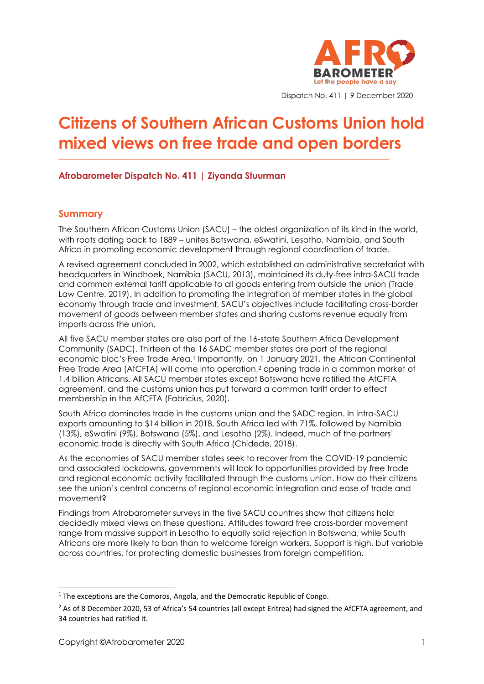

Dispatch No. 411 | 9 December 2020

# **Citizens of Southern African Customs Union hold mixed views on free trade and open borders**

**\_\_\_\_\_\_\_\_\_\_\_\_\_\_\_\_\_\_\_\_\_\_\_\_\_\_\_\_\_\_\_\_\_\_\_\_\_\_\_\_\_\_\_\_\_\_\_\_\_\_\_\_\_\_\_\_\_\_\_\_\_\_\_\_\_\_\_\_\_\_\_\_\_\_\_\_\_\_\_\_\_\_\_\_\_\_\_\_\_\_\_\_\_\_\_\_\_\_\_\_\_\_\_\_\_\_\_**

## **Afrobarometer Dispatch No. 411 | Ziyanda Stuurman**

#### **Summary**

The Southern African Customs Union (SACU) – the oldest organization of its kind in the world, with roots dating back to 1889 – unites Botswana, eSwatini, Lesotho, Namibia, and South Africa in promoting economic development through regional coordination of trade.

A revised agreement concluded in 2002, which established an administrative secretariat with headquarters in Windhoek, Namibia (SACU, 2013), maintained its duty-free intra-SACU trade and common external tariff applicable to all goods entering from outside the union (Trade Law Centre, 2019). In addition to promoting the integration of member states in the global economy through trade and investment, SACU's objectives include facilitating cross-border movement of goods between member states and sharing customs revenue equally from imports across the union.

All five SACU member states are also part of the 16-state Southern Africa Development Community (SADC). Thirteen of the 16 SADC member states are part of the regional economic bloc's Free Trade Area. <sup>1</sup> Importantly, on 1 January 2021, the African Continental Free Trade Area (AfCFTA) will come into operation, <sup>2</sup> opening trade in a common market of 1.4 billion Africans. All SACU member states except Botswana have ratified the AfCFTA agreement, and the customs union has put forward a common tariff order to effect membership in the AfCFTA (Fabricius, 2020).

South Africa dominates trade in the customs union and the SADC region. In intra-SACU exports amounting to \$14 billion in 2018, South Africa led with 71%, followed by Namibia (13%), eSwatini (9%), Botswana (5%), and Lesotho (2%). Indeed, much of the partners' economic trade is directly with South Africa (Chidede, 2018).

As the economies of SACU member states seek to recover from the COVID-19 pandemic and associated lockdowns, governments will look to opportunities provided by free trade and regional economic activity facilitated through the customs union. How do their citizens see the union's central concerns of regional economic integration and ease of trade and movement?

Findings from Afrobarometer surveys in the five SACU countries show that citizens hold decidedly mixed views on these questions. Attitudes toward free cross-border movement range from massive support in Lesotho to equally solid rejection in Botswana, while South Africans are more likely to ban than to welcome foreign workers. Support is high, but variable across countries, for protecting domestic businesses from foreign competition.

<sup>&</sup>lt;sup>1</sup> The exceptions are the Comoros, Angola, and the Democratic Republic of Congo.

<sup>&</sup>lt;sup>2</sup> As of 8 December 2020, 53 of Africa's 54 countries (all except Eritrea) had signed the AfCFTA agreement, and 34 countries had ratified it.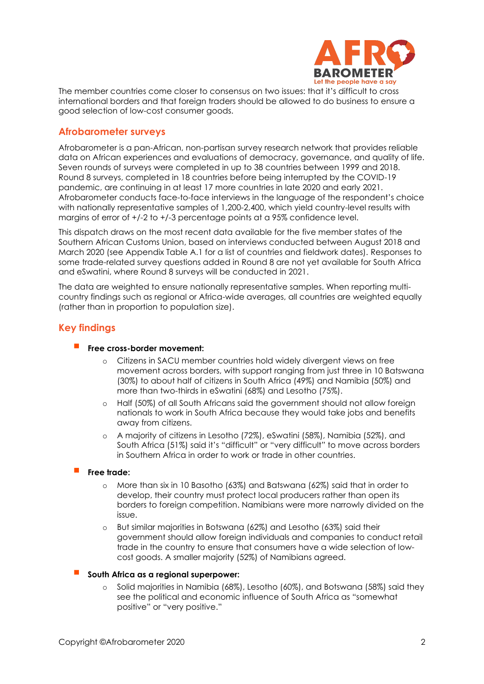

The member countries come closer to consensus on two issues: that it's difficult to cross international borders and that foreign traders should be allowed to do business to ensure a good selection of low-cost consumer goods.

## **Afrobarometer surveys**

Afrobarometer is a pan-African, non-partisan survey research network that provides reliable data on African experiences and evaluations of democracy, governance, and quality of life. Seven rounds of surveys were completed in up to 38 countries between 1999 and 2018. Round 8 surveys, completed in 18 countries before being interrupted by the COVID-19 pandemic, are continuing in at least 17 more countries in late 2020 and early 2021. Afrobarometer conducts face-to-face interviews in the language of the respondent's choice with nationally representative samples of 1,200-2,400, which yield country-level results with margins of error of +/-2 to +/-3 percentage points at a 95% confidence level.

This dispatch draws on the most recent data available for the five member states of the Southern African Customs Union, based on interviews conducted between August 2018 and March 2020 (see Appendix Table A.1 for a list of countries and fieldwork dates). Responses to some trade-related survey questions added in Round 8 are not yet available for South Africa and eSwatini, where Round 8 surveys will be conducted in 2021.

The data are weighted to ensure nationally representative samples. When reporting multicountry findings such as regional or Africa-wide averages, all countries are weighted equally (rather than in proportion to population size).

## **Key findings**

#### ▪ **Free cross-border movement:**

- o Citizens in SACU member countries hold widely divergent views on free movement across borders, with support ranging from just three in 10 Batswana (30%) to about half of citizens in South Africa (49%) and Namibia (50%) and more than two-thirds in eSwatini (68%) and Lesotho (75%).
- o Half (50%) of all South Africans said the government should not allow foreign nationals to work in South Africa because they would take jobs and benefits away from citizens.
- o A majority of citizens in Lesotho (72%), eSwatini (58%), Namibia (52%), and South Africa (51%) said it's "difficult" or "very difficult" to move across borders in Southern Africa in order to work or trade in other countries.

#### **Free trade:**

- o More than six in 10 Basotho (63%) and Batswana (62%) said that in order to develop, their country must protect local producers rather than open its borders to foreign competition. Namibians were more narrowly divided on the issue.
- o But similar majorities in Botswana (62%) and Lesotho (63%) said their government should allow foreign individuals and companies to conduct retail trade in the country to ensure that consumers have a wide selection of lowcost goods. A smaller majority (52%) of Namibians agreed.

#### ▪ **South Africa as a regional superpower:**

o Solid majorities in Namibia (68%), Lesotho (60%), and Botswana (58%) said they see the political and economic influence of South Africa as "somewhat positive" or "very positive."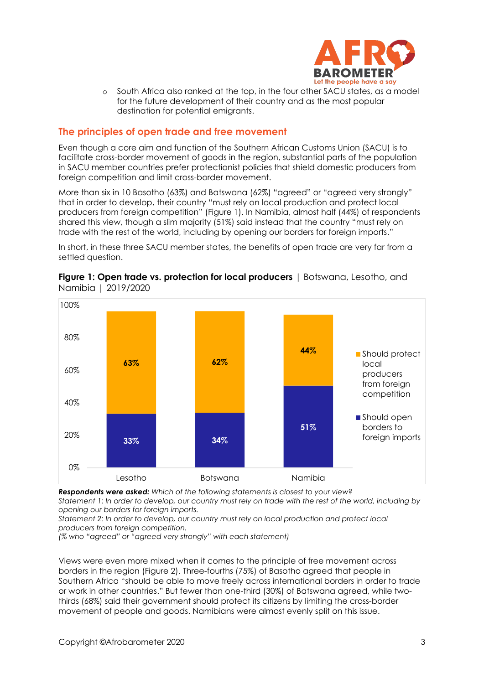

o South Africa also ranked at the top, in the four other SACU states, as a model for the future development of their country and as the most popular destination for potential emigrants.

## **The principles of open trade and free movement**

Even though a core aim and function of the Southern African Customs Union (SACU) is to facilitate cross-border movement of goods in the region, substantial parts of the population in SACU member countries prefer protectionist policies that shield domestic producers from foreign competition and limit cross-border movement.

More than six in 10 Basotho (63%) and Batswana (62%) "agreed" or "agreed very strongly" that in order to develop, their country "must rely on local production and protect local producers from foreign competition" (Figure 1). In Namibia, almost half (44%) of respondents shared this view, though a slim majority (51%) said instead that the country "must rely on trade with the rest of the world, including by opening our borders for foreign imports."

In short, in these three SACU member states, the benefits of open trade are very far from a settled question.



**Figure 1: Open trade vs. protection for local producers** | Botswana, Lesotho, and Namibia | 2019/2020

*Respondents were asked: Which of the following statements is closest to your view?*

*Statement 1: In order to develop, our country must rely on trade with the rest of the world, including by opening our borders for foreign imports.*

*Statement 2: In order to develop, our country must rely on local production and protect local producers from foreign competition.*

*(% who "agreed" or "agreed very strongly" with each statement)*

Views were even more mixed when it comes to the principle of free movement across borders in the region (Figure 2). Three-fourths (75%) of Basotho agreed that people in Southern Africa "should be able to move freely across international borders in order to trade or work in other countries." But fewer than one-third (30%) of Batswana agreed, while twothirds (68%) said their government should protect its citizens by limiting the cross-border movement of people and goods. Namibians were almost evenly split on this issue.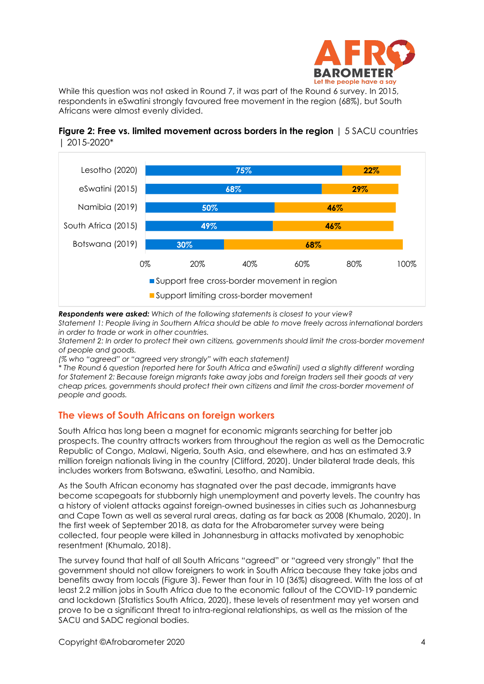

While this question was not asked in Round 7, it was part of the Round 6 survey. In 2015, respondents in eSwatini strongly favoured free movement in the region (68%), but South Africans were almost evenly divided.





*Respondents were asked: Which of the following statements is closest to your view?*

*Statement 1: People living in Southern Africa should be able to move freely across international borders in order to trade or work in other countries.*

*Statement 2: In order to protect their own citizens, governments should limit the cross-border movement of people and goods.*

*(% who "agreed" or "agreed very strongly" with each statement)*

*\* The Round 6 question (reported here for South Africa and eSwatini) used a slightly different wording for Statement 2: Because foreign migrants take away jobs and foreign traders sell their goods at very cheap prices, governments should protect their own citizens and limit the cross-border movement of people and goods.*

## **The views of South Africans on foreign workers**

South Africa has long been a magnet for economic migrants searching for better job prospects. The country attracts workers from throughout the region as well as the Democratic Republic of Congo, Malawi, Nigeria, South Asia, and elsewhere, and has an estimated 3.9 million foreign nationals living in the country (Clifford, 2020). Under bilateral trade deals, this includes workers from Botswana, eSwatini, Lesotho, and Namibia.

As the South African economy has stagnated over the past decade, immigrants have become scapegoats for stubbornly high unemployment and poverty levels. The country has a history of violent attacks against foreign-owned businesses in cities such as Johannesburg and Cape Town as well as several rural areas, dating as far back as 2008 (Khumalo, 2020). In the first week of September 2018, as data for the Afrobarometer survey were being collected, four people were killed in Johannesburg in attacks motivated by xenophobic resentment (Khumalo, 2018).

The survey found that half of all South Africans "agreed" or "agreed very strongly" that the government should not allow foreigners to work in South Africa because they take jobs and benefits away from locals (Figure 3). Fewer than four in 10 (36%) disagreed. With the loss of at least 2.2 million jobs in South Africa due to the economic fallout of the COVID-19 pandemic and lockdown (Statistics South Africa, 2020), these levels of resentment may yet worsen and prove to be a significant threat to intra-regional relationships, as well as the mission of the SACU and SADC regional bodies.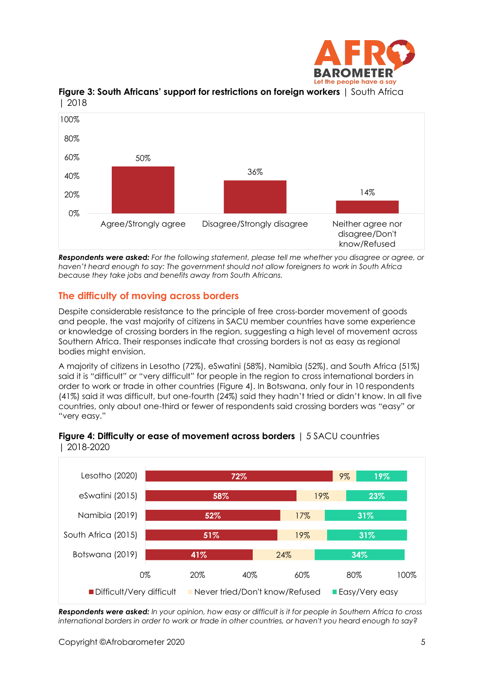



## **Figure 3: South Africans' support for restrictions on foreign workers** | South Africa | 2018

*Respondents were asked: For the following statement, please tell me whether you disagree or agree, or haven't heard enough to say: The government should not allow foreigners to work in South Africa because they take jobs and benefits away from South Africans.*

# **The difficulty of moving across borders**

Despite considerable resistance to the principle of free cross-border movement of goods and people, the vast majority of citizens in SACU member countries have some experience or knowledge of crossing borders in the region, suggesting a high level of movement across Southern Africa. Their responses indicate that crossing borders is not as easy as regional bodies might envision.

A majority of citizens in Lesotho (72%), eSwatini (58%), Namibia (52%), and South Africa (51%) said it is "difficult" or "very difficult" for people in the region to cross international borders in order to work or trade in other countries (Figure 4). In Botswana, only four in 10 respondents (41%) said it was difficult, but one-fourth (24%) said they hadn't tried or didn't know. In all five countries, only about one-third or fewer of respondents said crossing borders was "easy" or "very easy."



#### **Figure 4: Difficulty or ease of movement across borders** | 5 SACU countries | 2018-2020

*Respondents were asked: In your opinion, how easy or difficult is it for people in Southern Africa to cross international borders in order to work or trade in other countries, or haven't you heard enough to say?*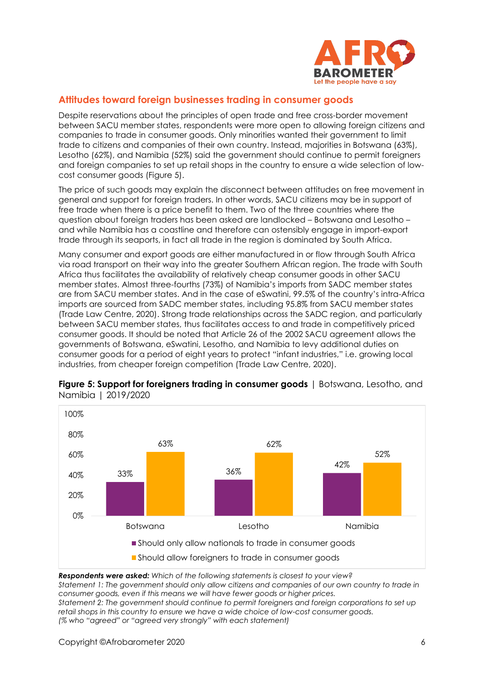

## **Attitudes toward foreign businesses trading in consumer goods**

Despite reservations about the principles of open trade and free cross-border movement between SACU member states, respondents were more open to allowing foreign citizens and companies to trade in consumer goods. Only minorities wanted their government to limit trade to citizens and companies of their own country. Instead, majorities in Botswana (63%), Lesotho (62%), and Namibia (52%) said the government should continue to permit foreigners and foreign companies to set up retail shops in the country to ensure a wide selection of lowcost consumer goods (Figure 5).

The price of such goods may explain the disconnect between attitudes on free movement in general and support for foreign traders. In other words, SACU citizens may be in support of free trade when there is a price benefit to them. Two of the three countries where the question about foreign traders has been asked are landlocked – Botswana and Lesotho – and while Namibia has a coastline and therefore can ostensibly engage in import-export trade through its seaports, in fact all trade in the region is dominated by South Africa.

Many consumer and export goods are either manufactured in or flow through South Africa via road transport on their way into the greater Southern African region. The trade with South Africa thus facilitates the availability of relatively cheap consumer goods in other SACU member states. Almost three-fourths (73%) of Namibia's imports from SADC member states are from SACU member states. And in the case of eSwatini, 99.5% of the country's intra-Africa imports are sourced from SADC member states, including 95.8% from SACU member states (Trade Law Centre, 2020). Strong trade relationships across the SADC region, and particularly between SACU member states, thus facilitates access to and trade in competitively priced consumer goods. It should be noted that Article 26 of the 2002 SACU agreement allows the governments of Botswana, eSwatini, Lesotho, and Namibia to levy additional duties on consumer goods for a period of eight years to protect "infant industries," i.e. growing local industries, from cheaper foreign competition (Trade Law Centre, 2020).



**Figure 5: Support for foreigners trading in consumer goods** | Botswana, Lesotho, and Namibia | 2019/2020

*Respondents were asked: Which of the following statements is closest to your view? Statement 1: The government should only allow citizens and companies of our own country to trade in consumer goods, even if this means we will have fewer goods or higher prices. Statement 2: The government should continue to permit foreigners and foreign corporations to set up retail shops in this country to ensure we have a wide choice of low-cost consumer goods. (% who "agreed" or "agreed very strongly" with each statement)*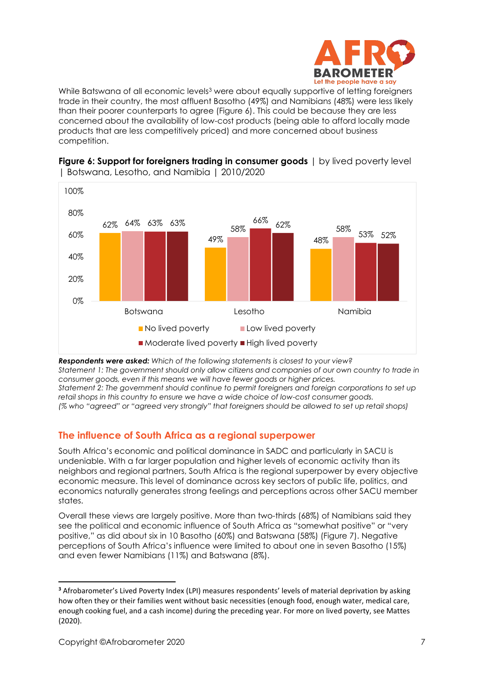

While Batswana of all economic levels<sup>3</sup> were about equally supportive of letting foreigners trade in their country, the most affluent Basotho (49%) and Namibians (48%) were less likely than their poorer counterparts to agree (Figure 6). This could be because they are less concerned about the availability of low-cost products (being able to afford locally made products that are less competitively priced) and more concerned about business competition.



**Figure 6: Support for foreigners trading in consumer goods** | by lived poverty level | Botswana, Lesotho, and Namibia | 2010/2020

*Respondents were asked: Which of the following statements is closest to your view? Statement 1: The government should only allow citizens and companies of our own country to trade in consumer goods, even if this means we will have fewer goods or higher prices. Statement 2: The government should continue to permit foreigners and foreign corporations to set up retail shops in this country to ensure we have a wide choice of low-cost consumer goods. (% who "agreed" or "agreed very strongly" that foreigners should be allowed to set up retail shops)*

## **The influence of South Africa as a regional superpower**

South Africa's economic and political dominance in SADC and particularly in SACU is undeniable. With a far larger population and higher levels of economic activity than its neighbors and regional partners, South Africa is the regional superpower by every objective economic measure. This level of dominance across key sectors of public life, politics, and economics naturally generates strong feelings and perceptions across other SACU member states.

Overall these views are largely positive. More than two-thirds (68%) of Namibians said they see the political and economic influence of South Africa as "somewhat positive" or "very positive," as did about six in 10 Basotho (60%) and Batswana (58%) (Figure 7). Negative perceptions of South Africa's influence were limited to about one in seven Basotho (15%) and even fewer Namibians (11%) and Batswana (8%).

**<sup>3</sup>** Afrobarometer's Lived Poverty Index (LPI) measures respondents' levels of material deprivation by asking how often they or their families went without basic necessities (enough food, enough water, medical care, enough cooking fuel, and a cash income) during the preceding year. For more on lived poverty, see Mattes (2020).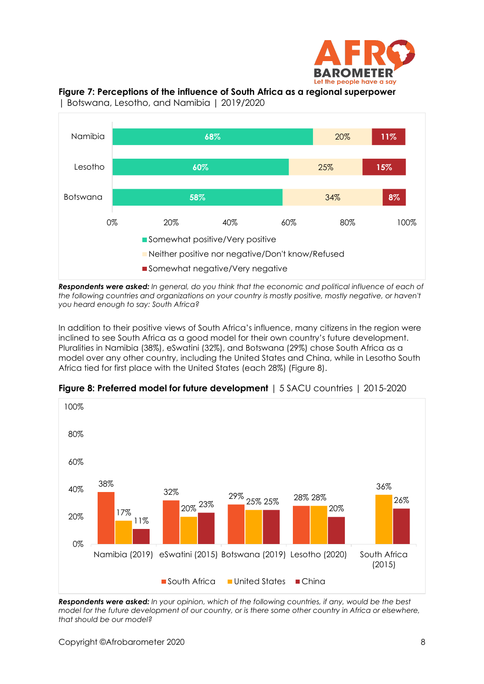





| Botswana, Lesotho, and Namibia | 2019/2020

*Respondents were asked: In general, do you think that the economic and political influence of each of*  the following countries and organizations on your country is mostly positive, mostly negative, or haven't *you heard enough to say: South Africa?*

In addition to their positive views of South Africa's influence, many citizens in the region were inclined to see South Africa as a good model for their own country's future development. Pluralities in Namibia (38%), eSwatini (32%), and Botswana (29%) chose South Africa as a model over any other country, including the United States and China, while in Lesotho South Africa tied for first place with the United States (each 28%) (Figure 8).



**Figure 8: Preferred model for future development** | 5 SACU countries | 2015-2020

*Respondents were asked: In your opinion, which of the following countries, if any, would be the best model for the future development of our country, or is there some other country in Africa or elsewhere, that should be our model?*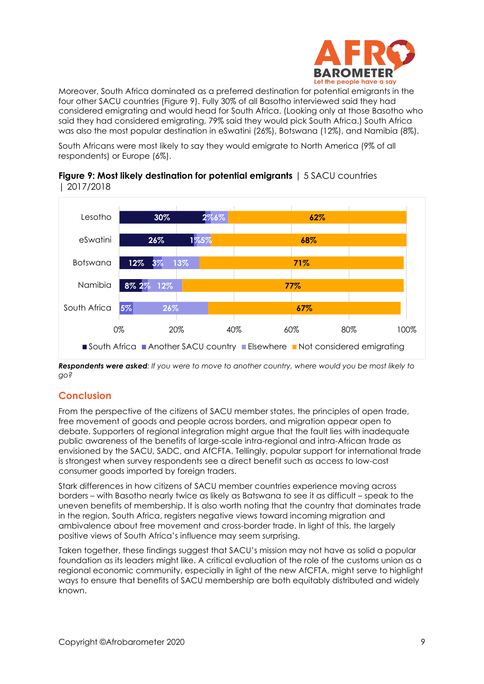

Moreover, South Africa dominated as a preferred destination for potential emigrants in the four other SACU countries (Figure 9). Fully 30% of all Basotho interviewed said they had considered emigrating and would head for South Africa. (Looking only at those Basotho who said they had considered emigrating, 79% said they would pick South Africa.) South Africa was also the most popular destination in eSwatini (26%), Botswana (12%), and Namibia (8%).

South Africans were most likely to say they would emigrate to North America (9% of all respondents) or Europe (6%).



**Figure 9: Most likely destination for potential emigrants** | 5 SACU countries | 2017/2018

*Respondents were asked: If you were to move to another country, where would you be most likely to go?*

# **Conclusion**

From the perspective of the citizens of SACU member states, the principles of open trade, free movement of goods and people across borders, and migration appear open to debate. Supporters of regional integration might argue that the fault lies with inadequate public awareness of the benefits of large-scale intra-regional and intra-African trade as envisioned by the SACU, SADC, and AfCFTA. Tellingly, popular support for international trade is strongest when survey respondents see a direct benefit such as access to low-cost consumer goods imported by foreign traders.

Stark differences in how citizens of SACU member countries experience moving across borders – with Basotho nearly twice as likely as Batswana to see it as difficult – speak to the uneven benefits of membership. It is also worth noting that the country that dominates trade in the region, South Africa, registers negative views toward incoming migration and ambivalence about free movement and cross-border trade. In light of this, the largely positive views of South Africa's influence may seem surprising.

Taken together, these findings suggest that SACU's mission may not have as solid a popular foundation as its leaders might like. A critical evaluation of the role of the customs union as a regional economic community, especially in light of the new AfCFTA, might serve to highlight ways to ensure that benefits of SACU membership are both equitably distributed and widely known.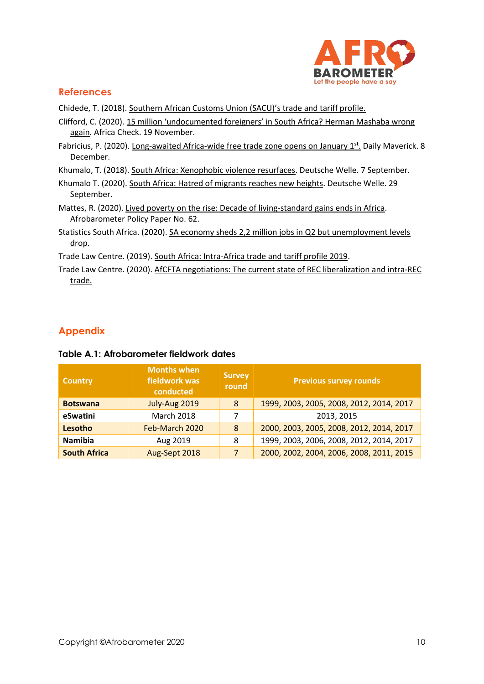

# **References**

Chidede, T. (2018). [Southern African Customs Union \(SACU\)'s trade and tariff profile.](https://www.tralac.org/blog/article/13807-southern-african-customs-union-sacu-s-trade-and-tariff-profile.html)

- Clifford, C. (2020). [15 million 'undocumented foreigners' in South Africa? Herman Mashaba wrong](https://africacheck.org/reports/15-million-undocumented-foreigners-in-south-africa-herman-mashaba-wrong-again/)  [again.](https://africacheck.org/reports/15-million-undocumented-foreigners-in-south-africa-herman-mashaba-wrong-again/) Africa Check. 19 November.
- Fabricius, P. (2020). [Long-awaited Africa-wide free trade zone opens on January 1](https://www.dailymaverick.co.za/article/2020-12-08-long-awaited-africa-wide-free-trade-zone-opens-on-january-1st/)**st** . Daily Maverick. 8 December.

Khumalo, T. (2018). [South Africa: Xenophobic violence resurfaces.](https://www.dw.com/en/south-africa-xenophobic-violence-resurfaces/a-45399481) Deutsche Welle. 7 September.

- Khumalo T. (2020). [South Africa: Hatred of migrants reaches new heights.](https://www.dw.com/en/south-africa-hatred-of-migrants-reaches-new-heights/a-55093941) Deutsche Welle. 29 September.
- Mattes, R. (2020). [Lived poverty on the rise: Decade of living-standard gains ends in Africa.](http://afrobarometer.org/publications/pp62-lived-poverty-rise-decade-living-standard-gains-ends-africa) Afrobarometer Policy Paper No. 62.
- Statistics South Africa. (2020). SA economy sheds 2,2 million jobs in Q2 but unemployment levels [drop.](http://www.statssa.gov.za/?p=13633)

Trade Law Centre. (2019). [South Africa: Intra-Africa trade and tariff profile 2019.](https://www.tralac.org/resources/our-resources/13142-south-africa-intra-africa-trade-and-tariff-profile.html)

Trade Law Centre. (2020). [AfCFTA negotiations: The current state of REC liberalization and intra-REC](https://www.tralac.org/resources/infographic/15002-afcfta-negotiations-the-current-state-of-rec-liberalisation-and-intra-rec-trade.html)  [trade.](https://www.tralac.org/resources/infographic/15002-afcfta-negotiations-the-current-state-of-rec-liberalisation-and-intra-rec-trade.html)

# **Appendix**

| <b>Country</b>      | <b>Months when</b><br>fieldwork was<br>conducted | <b>Survey</b><br>round | <b>Previous survey rounds</b>            |
|---------------------|--------------------------------------------------|------------------------|------------------------------------------|
| <b>Botswana</b>     | July-Aug 2019                                    | 8                      | 1999, 2003, 2005, 2008, 2012, 2014, 2017 |
| eSwatini            | <b>March 2018</b>                                | 7                      | 2013, 2015                               |
| Lesotho             | Feb-March 2020                                   | 8                      | 2000, 2003, 2005, 2008, 2012, 2014, 2017 |
| <b>Namibia</b>      | Aug 2019                                         | 8                      | 1999, 2003, 2006, 2008, 2012, 2014, 2017 |
| <b>South Africa</b> | Aug-Sept 2018                                    | 7                      | 2000, 2002, 2004, 2006, 2008, 2011, 2015 |

#### **Table A.1: Afrobarometer fieldwork dates**